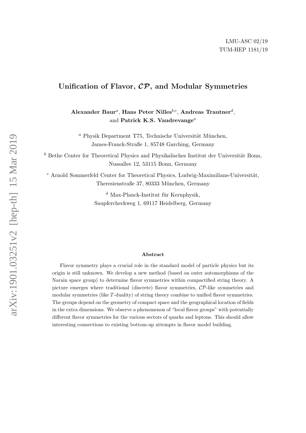## Unification of Flavor, CP, and Modular Symmetries

Alexander Baur<sup>a</sup>, Hans Peter Nilles<sup>b,c</sup>, Andreas Trautner<sup>d</sup>, and Patrick K.S. Vaudrevange<sup>a</sup>

 $a$  Physik Department T75, Technische Universität München, James-Franck-Straße 1, 85748 Garching, Germany

 $^b$  Bethe Center for Theoretical Physics and Physikalisches Institut der Universität Bonn, Nussallee 12, 53115 Bonn, Germany

 $^c$  Arnold Sommerfeld Center for Theoretical Physics, Ludwig-Maximilians-Universität, Theresienstraße 37, 80333 München, Germany

> $d$  Max-Planck-Institut für Kernphysik, Saupfercheckweg 1, 69117 Heidelberg, Germany

#### Abstract

Flavor symmetry plays a crucial role in the standard model of particle physics but its origin is still unknown. We develop a new method (based on outer automorphisms of the Narain space group) to determine flavor symmetries within compactified string theory. A picture emerges where traditional (discrete) flavor symmetries, CP-like symmetries and modular symmetries (like T-duality) of string theory combine to unified flavor symmetries. The groups depend on the geometry of compact space and the geographical location of fields in the extra dimensions. We observe a phenomenon of "local flavor groups" with potentially different flavor symmetries for the various sectors of quarks and leptons. This should allow interesting connections to existing bottom-up attempts in flavor model building.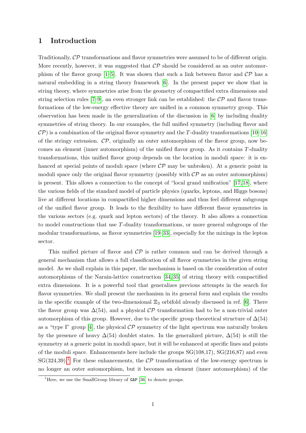## 1 Introduction

Traditionally, CP transformations and flavor symmetries were assumed to be of different origin. More recently, however, it was suggested that  $\mathcal{CP}$  should be considered as an outer automorphism of the flavor group  $[1-5]$  $[1-5]$ . It was shown that such a link between flavor and  $\mathcal{CP}$  has a natural embedding in a string theory framework [\[6\]](#page-15-2). In the present paper we show that in string theory, where symmetries arise from the geometry of compactified extra dimensions and string selection rules  $[7-9]$ , an even stronger link can be established: the  $\mathcal{CP}$  and flavor transformations of the low-energy effective theory are unified in a common symmetry group. This observation has been made in the generalization of the discussion in [\[6\]](#page-15-2) by including duality symmetries of string theory. In our examples, the full unified symmetry (including flavor and  $\cal CP$ ) is a combination of the original flavor symmetry and the T-duality transformations [\[10](#page-15-5)[–16\]](#page-16-0) of the stringy extension.  $\mathcal{CP}$ , originally an outer automorphism of the flavor group, now becomes an element (inner automorphism) of the unified flavor group. As it contains T-duality transformations, this unified flavor group depends on the location in moduli space: it is enhanced at special points of moduli space (where  $\mathcal{CP}$  may be unbroken). At a generic point in moduli space only the original flavor symmetry (possibly with  $\mathcal{CP}$  as an outer automorphism) is present. This allows a connection to the concept of "local grand unification" [\[17,](#page-16-1) [18\]](#page-16-2), where the various fields of the standard model of particle physics (quarks, leptons, and Higgs bosons) live at different locations in compactified higher dimensions and thus feel different subgroups of the unified flavor group. It leads to the flexibility to have different flavor symmetries in the various sectors (e.g. quark and lepton sectors) of the theory. It also allows a connection to model constructions that use T-duality transformations, or more general subgroups of the modular transformations, as flavor symmetries [\[19–](#page-16-3)[33\]](#page-17-0), especially for the mixings in the lepton sector.

This unified picture of flavor and  $\mathcal{CP}$  is rather common and can be derived through a general mechanism that allows a full classification of all flavor symmetries in the given string model. As we shall explain in this paper, the mechanism is based on the consideration of outer automorphisms of the Narain-lattice construction [\[34,](#page-17-1) [35\]](#page-17-2) of string theory with compactified extra dimensions. It is a powerful tool that generalizes previous attempts in the search for flavor symmetries. We shall present the mechanism in its general form and explain the results in the specific example of the two-dimensional  $\mathbb{Z}_3$  orbifold already discussed in ref. [\[6\]](#page-15-2). There the flavor group was  $\Delta(54)$ , and a physical  $\mathcal{CP}$  transformation had to be a non-trivial outer automorphism of this group. However, due to the specific group theoretical structure of  $\Delta(54)$ as a "type I" group [\[4\]](#page-15-6), the physical  $\mathcal{CP}$  symmetry of the light spectrum was naturally broken by the presence of heavy  $\Delta(54)$  doublet states. In the generalized picture,  $\Delta(54)$  is still the symmetry at a generic point in moduli space, but it will be enhanced at specific lines and points of the moduli space. Enhancements here include the groups  $SG(108,17)$ ,  $SG(216,87)$  and even  $SG(324,39).$ <sup>[1](#page-1-0)</sup> For these enhancements, the  $\mathcal{CP}$  transformation of the low-energy spectrum is no longer an outer automorphism, but it becomes an element (inner automorphism) of the

<span id="page-1-0"></span><sup>&</sup>lt;sup>1</sup>Here, we use the SmallGroup library of  $GAP$  [\[36\]](#page-17-3) to denote groups.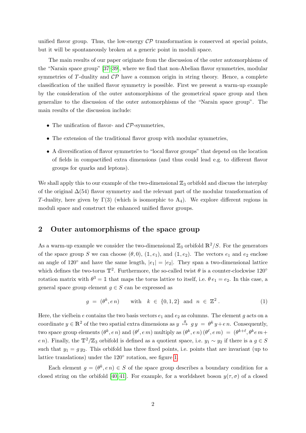unified flavor group. Thus, the low-energy  $\mathcal{CP}$  transformation is conserved at special points, but it will be spontaneously broken at a generic point in moduli space.

The main results of our paper originate from the discussion of the outer automorphisms of the "Narain space group" [\[37–](#page-17-4)[39\]](#page-17-5), where we find that non-Abelian flavor symmetries, modular symmetries of T-duality and  $\mathcal{CP}$  have a common origin in string theory. Hence, a complete classification of the unified flavor symmetry is possible. First we present a warm-up example by the consideration of the outer automorphisms of the geometrical space group and then generalize to the discussion of the outer automorphisms of the "Narain space group". The main results of the discussion include:

- The unification of flavor- and  $\mathcal{CP}$ -symmetries,
- The extension of the traditional flavor group with modular symmetries,
- A diversification of flavor symmetries to "local flavor groups" that depend on the location of fields in compactified extra dimensions (and thus could lead e.g. to different flavor groups for quarks and leptons).

We shall apply this to our example of the two-dimensional  $\mathbb{Z}_3$  orbifold and discuss the interplay of the original  $\Delta(54)$  flavor symmetry and the relevant part of the modular transformation of T-duality, here given by  $\Gamma(3)$  (which is isomorphic to A<sub>4</sub>). We explore different regions in moduli space and construct the enhanced unified flavor groups.

## <span id="page-2-1"></span>2 Outer automorphisms of the space group

As a warm-up example we consider the two-dimensional  $\mathbb{Z}_3$  orbifold  $\mathbb{R}^2/S$ . For the generators of the space group S we can choose  $(\theta, 0)$ ,  $(1, e_1)$ , and  $(1, e_2)$ . The vectors  $e_1$  and  $e_2$  enclose an angle of 120° and have the same length,  $|e_1| = |e_2|$ . They span a two-dimensional lattice which defines the two-torus  $\mathbb{T}^2$ . Furthermore, the so-called twist  $\theta$  is a counter-clockwise 120° rotation matrix with  $\theta^3 = 1$  that maps the torus lattice to itself, i.e.  $\theta e_1 = e_2$ . In this case, a general space group element  $q \in S$  can be expressed as

<span id="page-2-0"></span>
$$
g = (\theta^k, e n) \quad \text{with} \quad k \in \{0, 1, 2\} \quad \text{and} \quad n \in \mathbb{Z}^2 \,. \tag{1}
$$

Here, the vielbein e contains the two basis vectors  $e_1$  and  $e_2$  as columns. The element g acts on a coordinate  $y \in \mathbb{R}^2$  of the two spatial extra dimensions as  $y \stackrel{g}{\mapsto} gy = \theta^k y + e n$ . Consequently, two space group elements  $(\theta^k, e n)$  and  $(\theta^{\ell}, e m)$  multiply as  $(\theta^k, e n)(\theta^{\ell}, e m) = (\theta^{k+\ell}, \theta^k e m +$ e n). Finally, the  $\mathbb{T}^2/\mathbb{Z}_3$  orbifold is defined as a quotient space, i.e.  $y_1 \sim y_2$  if there is a  $g \in S$ such that  $y_1 = g y_2$ . This orbifold has three fixed points, i.e. points that are invariant (up to lattice translations) under the  $120^{\circ}$  rotation, see figure [1.](#page-3-0)

Each element  $g = (\theta^k, e \eta) \in S$  of the space group describes a boundary condition for a closed string on the orbifold [\[40,](#page-17-6) [41\]](#page-17-7). For example, for a worldsheet boson  $y(\tau, \sigma)$  of a closed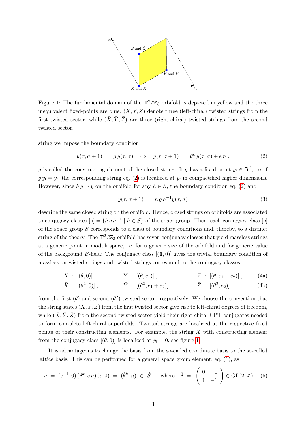

<span id="page-3-0"></span>Figure 1: The fundamental domain of the  $\mathbb{T}^2/\mathbb{Z}_3$  orbifold is depicted in yellow and the three inequivalent fixed-points are blue.  $(X, Y, Z)$  denote three (left-chiral) twisted strings from the first twisted sector, while  $(\bar{X}, \bar{Y}, \bar{Z})$  are three (right-chiral) twisted strings from the second twisted sector.

string we impose the boundary condition

<span id="page-3-1"></span>
$$
y(\tau, \sigma + 1) = gy(\tau, \sigma) \Leftrightarrow y(\tau, \sigma + 1) = \theta^k y(\tau, \sigma) + e n. \tag{2}
$$

g is called the constructing element of the closed string. If g has a fixed point  $y_f \in \mathbb{R}^2$ , i.e. if  $g y_f = y_f$ , the corresponding string eq. [\(2\)](#page-3-1) is localized at  $y_f$  in compactified higher dimensions. However, since  $hy \sim y$  on the orbifold for any  $h \in S$ , the boundary condition eq. [\(2\)](#page-3-1) and

$$
y(\tau, \sigma + 1) = h g h^{-1} y(\tau, \sigma) \tag{3}
$$

describe the same closed string on the orbifold. Hence, closed strings on orbifolds are associated to conjugacy classes  $[g] = \{hg\ h^{-1} \mid h \in S\}$  of the space group. Then, each conjugacy class  $[g]$ of the space group  $S$  corresponds to a class of boundary conditions and, thereby, to a distinct string of the theory. The  $\mathbb{T}^2/\mathbb{Z}_3$  orbifold has seven conjugacy classes that yield massless strings at a generic point in moduli space, i.e. for a generic size of the orbifold and for generic value of the background B-field: The conjugacy class  $[(1, 0)]$  gives the trivial boundary condition of massless untwisted strings and twisted strings correspond to the conjugacy classes

$$
X : [(\theta,0)], \t Y : [(\theta,e_1)], \t Z : [(\theta,e_1+e_2)], \t (4a)
$$

$$
\bar{X} : [(\theta^2, 0)], \qquad \bar{Y} : [(\theta^2, e_1 + e_2)], \qquad \bar{Z} : [(\theta^2, e_2)], \qquad (4b)
$$

from the first  $(\theta)$  and second  $(\theta^2)$  twisted sector, respectively. We choose the convention that the string states  $(X, Y, Z)$  from the first twisted sector give rise to left-chiral degrees of freedom, while  $(\bar{X}, \bar{Y}, \bar{Z})$  from the second twisted sector yield their right-chiral CPT-conjugates needed to form complete left-chiral superfields. Twisted strings are localized at the respective fixed points of their constructing elements. For example, the string X with constructing element from the conjugacy class  $[(\theta, 0)]$  is localized at  $y_f = 0$ , see figure [1.](#page-3-0)

It is advantageous to change the basis from the so-called coordinate basis to the so-called lattice basis. This can be performed for a general space group element, eq. [\(1\)](#page-2-0), as

<span id="page-3-2"></span>
$$
\hat{g} = (e^{-1}, 0) (\theta^k, en) (e, 0) = (\hat{\theta}^k, n) \in \hat{S}, \quad \text{where} \quad \hat{\theta} = \begin{pmatrix} 0 & -1 \\ 1 & -1 \end{pmatrix} \in \text{GL}(2, \mathbb{Z}) \tag{5}
$$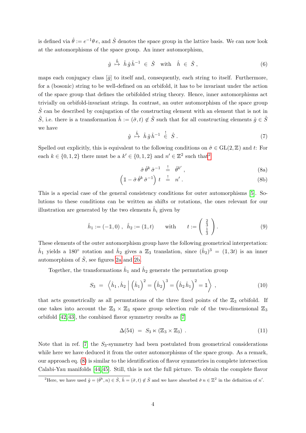is defined via  $\hat{\theta} := e^{-1}\theta e$ , and  $\hat{S}$  denotes the space group in the lattice basis. We can now look at the automorphisms of the space group. An inner automorphism,

$$
\hat{g} \stackrel{\hat{h}}{\mapsto} \hat{h} \,\hat{g} \,\hat{h}^{-1} \in \hat{S} \quad \text{with} \quad \hat{h} \in \hat{S} \,, \tag{6}
$$

maps each conjugacy class  $[\hat{g}]$  to itself and, consequently, each string to itself. Furthermore, for a (bosonic) string to be well-defined on an orbifold, it has to be invariant under the action of the space group that defines the orbifolded string theory. Hence, inner automorphisms act trivially on orbifold-invariant strings. In contrast, an outer automorphism of the space group  $\hat{S}$  can be described by conjugation of the constructing element with an element that is not in  $\hat{S}$ , i.e. there is a transformation  $\hat{h} := (\hat{\sigma}, t) \notin \hat{S}$  such that for all constructing elements  $\hat{g} \in \hat{S}$ we have

$$
\hat{g} \stackrel{\hat{h}}{\mapsto} \hat{h} \,\hat{g} \,\hat{h}^{-1} \stackrel{!}{\in} \hat{S} \,. \tag{7}
$$

Spelled out explicitly, this is equivalent to the following conditions on  $\hat{\sigma} \in GL(2, \mathbb{Z})$  and t: For each  $k \in \{0, 1, 2\}$  $k \in \{0, 1, 2\}$  $k \in \{0, 1, 2\}$  there must be a  $k' \in \{0, 1, 2\}$  and  $n' \in \mathbb{Z}^2$  such that<sup>2</sup>

<span id="page-4-1"></span>
$$
\hat{\sigma}\,\hat{\theta}^k\,\hat{\sigma}^{-1}\quad \stackrel{!}{=}\quad \hat{\theta}^{k'}\,,\tag{8a}
$$

$$
\left(\mathbb{1} - \hat{\sigma}\,\hat{\theta}^k\,\hat{\sigma}^{-1}\right)\,t \quad \stackrel{!}{=} \quad n'\,. \tag{8b}
$$

This is a special case of the general consistency conditions for outer automorphisms [\[5\]](#page-15-1). Solutions to these conditions can be written as shifts or rotations, the ones relevant for our illustration are generated by the two elements  $\hat{h}_i$  given by

<span id="page-4-2"></span>
$$
\hat{h}_1 := (-1, 0), \quad \hat{h}_2 := (1, t) \quad \text{with} \quad t := \begin{pmatrix} \frac{2}{3} \\ \frac{1}{3} \end{pmatrix}.
$$
\n(9)

These elements of the outer automorphism group have the following geometrical interpretation:  $\hat{h}_1$  yields a 180° rotation and  $\hat{h}_2$  gives a  $\mathbb{Z}_3$  translation, since  $(\hat{h}_2)^3 = (1, 3t)$  is an inner automorphism of  $\hat{S}$ , see figures [2a](#page-5-0) and [2b.](#page-5-1)

Together, the transformations  $\hat{h}_1$  and  $\hat{h}_2$  generate the permutation group

$$
S_3 = \left\langle \hat{h}_1, \hat{h}_2 \middle| \left( \hat{h}_1 \right)^2 = \left( \hat{h}_2 \right)^3 = \left( \hat{h}_2 \hat{h}_1 \right)^2 = \mathbb{1} \right\rangle , \tag{10}
$$

that acts geometrically as all permutations of the three fixed points of the  $\mathbb{Z}_3$  orbifold. If one takes into account the  $\mathbb{Z}_3 \times \mathbb{Z}_3$  space group selection rule of the two-dimensional  $\mathbb{Z}_3$ orbifold [\[42,](#page-17-8) [43\]](#page-17-9), the combined flavor symmetry results as [\[7\]](#page-15-3)

$$
\Delta(54) = S_3 \ltimes (\mathbb{Z}_3 \times \mathbb{Z}_3) \ . \tag{11}
$$

Note that in ref. [\[7\]](#page-15-3) the  $S_3$ -symmetry had been postulated from geometrical considerations while here we have deduced it from the outer automorphisms of the space group. As a remark, our approach eq. [\(8\)](#page-4-1) is similar to the identification of flavor symmetries in complete intersection Calabi-Yau manifolds [\[44,](#page-17-10) [45\]](#page-17-11). Still, this is not the full picture. To obtain the complete flavor

<span id="page-4-0"></span><sup>&</sup>lt;sup>2</sup>Here, we have used  $\hat{g} = (\hat{\theta}^k, n) \in \hat{S}$ ,  $\hat{h} = (\hat{\sigma}, t) \notin \hat{S}$  and we have absorbed  $\hat{\sigma} n \in \mathbb{Z}^2$  in the definition of n'.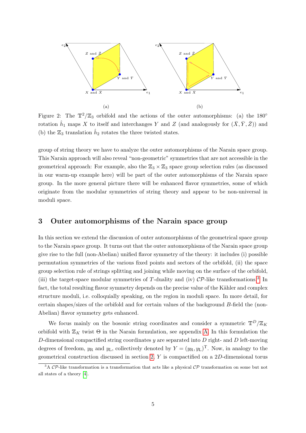<span id="page-5-1"></span><span id="page-5-0"></span>

Figure 2: The  $\mathbb{T}^2/\mathbb{Z}_3$  orbifold and the actions of the outer automorphisms: (a) the 180<sup>°</sup> rotation  $\hat{h}_1$  maps X to itself and interchanges Y and Z (and analogously for  $(\bar{X}, \bar{Y}, \bar{Z})$ ) and (b) the  $\mathbb{Z}_3$  translation  $\hat{h}_2$  rotates the three twisted states.

group of string theory we have to analyze the outer automorphisms of the Narain space group. This Narain approach will also reveal "non-geometric" symmetries that are not accessible in the geometrical approach: For example, also the  $\mathbb{Z}_3 \times \mathbb{Z}_3$  space group selection rules (as discussed in our warm-up example here) will be part of the outer automorphisms of the Narain space group. In the more general picture there will be enhanced flavor symmetries, some of which originate from the modular symmetries of string theory and appear to be non-universal in moduli space.

## <span id="page-5-3"></span>3 Outer automorphisms of the Narain space group

In this section we extend the discussion of outer automorphisms of the geometrical space group to the Narain space group. It turns out that the outer automorphisms of the Narain space group give rise to the full (non-Abelian) unified flavor symmetry of the theory: it includes (i) possible permutation symmetries of the various fixed points and sectors of the orbifold, (ii) the space group selection rule of strings splitting and joining while moving on the surface of the orbifold, (iii) the target-space modular symmetries of T-duality and (iv)  $\mathcal{CP}$ -like transformations.<sup>[3](#page-5-2)</sup> In fact, the total resulting flavor symmetry depends on the precise value of the Kähler and complex structure moduli, i.e. colloquially speaking, on the region in moduli space. In more detail, for certain shapes/sizes of the orbifold and for certain values of the background B-field the (non-Abelian) flavor symmetry gets enhanced.

We focus mainly on the bosonic string coordinates and consider a symmetric  $\mathbb{T}^D/\mathbb{Z}_K$ orbifold with  $\mathbb{Z}_K$  twist  $\Theta$  in the Narain formulation, see appendix [A.](#page-14-0) In this formulation the D-dimensional compactified string coordinates  $y$  are separated into  $D$  right- and  $D$  left-moving degrees of freedom,  $y_R$  and  $y_L$ , collectively denoted by  $Y = (y_R, y_L)^T$ . Now, in analogy to the geometrical construction discussed in section [2,](#page-2-1) Y is compactified on a 2D-dimensional torus

<span id="page-5-2"></span> $3A$  CP-like transformation is a transformation that acts like a physical CP transformation on some but not all states of a theory [\[4\]](#page-15-6).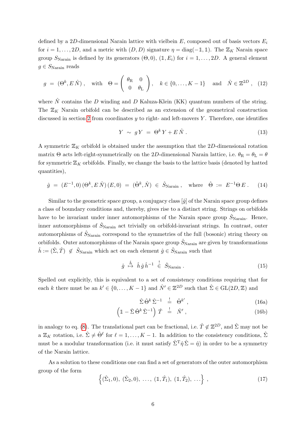defined by a 2D-dimensional Narain lattice with vielbein  $E$ , composed out of basis vectors  $E_i$ for  $i = 1, \ldots, 2D$ , and a metric with  $(D, D)$  signature  $\eta = \text{diag}(-1, 1)$ . The  $\mathbb{Z}_K$  Narain space group  $S_{\text{Narain}}$  is defined by its generators  $(\Theta, 0)$ ,  $(1, E_i)$  for  $i = 1, ..., 2D$ . A general element  $g \in S_{\text{Narian}}$  reads

$$
g = (\Theta^k, E\,\hat{N}), \quad \text{with} \quad \Theta = \left(\begin{array}{cc} \theta_{\mathcal{R}} & 0\\ 0 & \theta_{\mathcal{L}} \end{array}\right), \quad k \in \{0, \dots, K - 1\} \quad \text{and} \quad \hat{N} \in \mathbb{Z}^{2D} \,, \tag{12}
$$

where  $\hat{N}$  contains the D winding and D Kaluza-Klein (KK) quantum numbers of the string. The  $\mathbb{Z}_K$  Narain orbifold can be described as an extension of the geometrical construction discussed in section [2](#page-2-1) from coordinates  $y$  to right- and left-movers  $Y$ . Therefore, one identifies

$$
Y \sim gY = \Theta^k Y + E\hat{N} \,. \tag{13}
$$

A symmetric  $\mathbb{Z}_K$  orbifold is obtained under the assumption that the 2D-dimensional rotation matrix Θ acts left-right-symmetrically on the 2D-dimensional Narain lattice, i.e.  $\theta_R = \theta_L = \theta$ for symmetric  $\mathbb{Z}_K$  orbifolds. Finally, we change the basis to the lattice basis (denoted by hatted quantities),

$$
\hat{g} = (E^{-1}, 0) (\Theta^k, E \hat{N}) (E, 0) = (\hat{\Theta}^k, \hat{N}) \in \hat{S}_{\text{Narain}}
$$
, where  $\hat{\Theta} := E^{-1} \Theta E$ . (14)

Similar to the geometric space group, a conjugacy class  $[\hat{g}]$  of the Narain space group defines a class of boundary conditions and, thereby, gives rise to a distinct string. Strings on orbifolds have to be invariant under inner automorphisms of the Narain space group  $\ddot{S}_{\text{Narain}}$ . Hence, inner automorphisms of  $\hat{S}_{\text{Narain}}$  act trivially on orbifold-invariant strings. In contrast, outer automorphisms of  $\hat{S}_{\text{Narain}}$  correspond to the symmetries of the full (bosonic) string theory on orbifolds. Outer automorphisms of the Narain space group  $\hat{S}_{\text{Narain}}$  are given by transformations  $\hat{h} := (\hat{\Sigma}, \hat{T}) \notin \hat{S}_{\text{Narain}}$  which act on each element  $\hat{g} \in \hat{S}_{\text{Narain}}$  such that

$$
\hat{g} \stackrel{\hat{h}}{\rightarrow} \hat{h} \hat{g} \hat{h}^{-1} \stackrel{!}{\leftarrow} \hat{S}_{\text{Narain}} \,. \tag{15}
$$

Spelled out explicitly, this is equivalent to a set of consistency conditions requiring that for each k there must be an  $k' \in \{0, ..., K-1\}$  and  $\hat{N}' \in \mathbb{Z}^{2D}$  such that  $\hat{\Sigma} \in GL(2D, \mathbb{Z})$  and

<span id="page-6-1"></span><span id="page-6-0"></span>
$$
\hat{\Sigma}\,\hat{\Theta}^k\,\hat{\Sigma}^{-1} \quad \stackrel{!}{=} \quad \hat{\Theta}^{k'}\,,\tag{16a}
$$

$$
\left(\mathbb{1}-\hat{\Sigma}\,\hat{\Theta}^k\,\hat{\Sigma}^{-1}\right)\,\hat{T} \quad \stackrel{!}{=} \quad \hat{N}'\,,\tag{16b}
$$

in analogy to eq. [\(8\)](#page-4-1). The translational part can be fractional, i.e.  $\hat{T} \notin \mathbb{Z}^{2D}$ , and  $\hat{\Sigma}$  may not be a  $\mathbb{Z}_K$  rotation, i.e.  $\hat{\Sigma} \neq \hat{\Theta}^{\ell}$  for  $\ell = 1, \ldots, K - 1$ . In addition to the consistency conditions,  $\hat{\Sigma}$ must be a modular transformation (i.e. it must satisfy  $\hat{\Sigma}^T \hat{\eta} \hat{\Sigma} = \hat{\eta}$ ) in order to be a symmetry of the Narain lattice.

As a solution to these conditions one can find a set of generators of the outer automorphism group of the form

$$
\{(\hat{\Sigma}_1, 0), (\hat{\Sigma}_2, 0), \ldots, (\mathbb{1}, \hat{T}_1), (\mathbb{1}, \hat{T}_2), \ldots\},\tag{17}
$$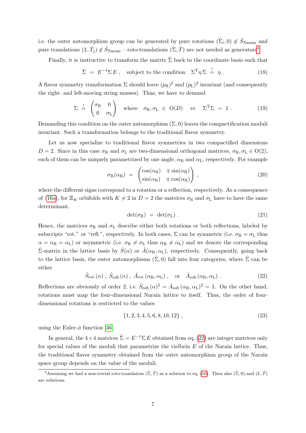i.e. the outer automorphism group can be generated by pure rotations  $(\hat{\Sigma}_i, 0) \notin \hat{S}_{\text{Narain}}$  and pure translations  $(1, \hat{T}_j) \notin \hat{S}_{\text{Narain}}$  – roto-translations  $(\hat{\Sigma}, \hat{T})$  are not needed as generators<sup>[4](#page-7-0)</sup>.

Finally, it is instructive to transform the matrix  $\hat{\Sigma}$  back to the coordinate basis such that

$$
\hat{\Sigma} = E^{-1} \Sigma E, \text{ subject to the condition } \Sigma^{\mathrm{T}} \eta \Sigma = \eta. \tag{18}
$$

A flavor symmetry transformation  $\Sigma$  should leave  $(p_R)^2$  and  $(p_L)^2$  invariant (and consequently the right- and left-moving string masses). Thus, we have to demand

$$
\Sigma \stackrel{!}{=} \begin{pmatrix} \sigma_{\rm R} & 0 \\ 0 & \sigma_{\rm L} \end{pmatrix} \text{ where } \sigma_{\rm R}, \sigma_{\rm L} \in O(D) \Leftrightarrow \Sigma^{\rm T} \Sigma = \mathbb{1}. \tag{19}
$$

Demanding this condition on the outer automorphism  $(\Sigma, 0)$  leaves the compactification moduli invariant. Such a transformation belongs to the traditional flavor symmetry.

Let us now specialize to traditional flavor symmetries in two compactified dimensions  $D = 2$ . Since in this case  $\sigma_R$  and  $\sigma_L$  are two-dimensional orthogonal matrices,  $\sigma_R$ ,  $\sigma_L \in O(2)$ , each of them can be uniquely parametrized by one angle,  $\alpha_R$  and  $\alpha_L$ , respectively. For example

$$
\sigma_{\rm R}(\alpha_{\rm R}) = \begin{pmatrix} \cos(\alpha_{\rm R}) & \mp \sin(\alpha_{\rm R}) \\ \sin(\alpha_{\rm R}) & \pm \cos(\alpha_{\rm R}) \end{pmatrix},\tag{20}
$$

where the different signs correspond to a rotation or a reflection, respectively. As a consequence of [\(16a\)](#page-6-0), for  $\mathbb{Z}_K$  orbifolds with  $K \neq 2$  in  $D = 2$  the matrices  $\sigma_R$  and  $\sigma_L$  have to have the same determinant,

$$
\det(\sigma_R) = \det(\sigma_L). \tag{21}
$$

Hence, the matrices  $\sigma_R$  and  $\sigma_L$  describe either both rotations or both reflections, labeled by subscripts "rot." or "refl.", respectively. In both cases,  $\Sigma$  can be symmetric (i.e.  $\sigma_R = \sigma_L$  thus  $\alpha = \alpha_R = \alpha_L$ ) or asymmetric (i.e.  $\sigma_R \neq \sigma_L$  thus  $\alpha_R \neq \alpha_L$ ) and we denote the corresponding  $\hat{\Sigma}$ -matrix in the lattice basis by  $\hat{S}(\alpha)$  or  $\hat{A}(\alpha_{\rm R}, \alpha_{\rm L})$ , respectively. Consequently, going back to the lattice basis, the outer automorphisms  $(\hat{\Sigma}, 0)$  fall into four categories, where  $\hat{\Sigma}$  can be either

<span id="page-7-1"></span>
$$
\hat{S}_{\text{rot.}}(\alpha) , \ \hat{S}_{\text{refl.}}(\alpha) , \ \hat{A}_{\text{rot.}}(\alpha_{\text{R}}, \alpha_{\text{L}}) , \quad \text{or} \quad \hat{A}_{\text{refl.}}(\alpha_{\text{R}}, \alpha_{\text{L}}) . \tag{22}
$$

Reflections are obviously of order 2, i.e.  $\hat{S}_{\text{refl.}}(\alpha)^2 = \hat{A}_{\text{refl.}}(\alpha_R, \alpha_L)^2 = \mathbb{1}$ . On the other hand, rotations must map the four-dimensional Narain lattice to itself. Thus, the order of fourdimensional rotations is restricted to the values

$$
\{1, 2, 3, 4, 5, 6, 8, 10, 12\},\tag{23}
$$

using the Euler- $\phi$  function [\[46\]](#page-17-12).

In general, the  $4 \times 4$  matrices  $\hat{\Sigma} = E^{-1} \Sigma E$  obtained from eq. [\(22\)](#page-7-1) are integer matrices only for special values of the moduli that parametrize the vielbein  $E$  of the Narain lattice. Thus, the traditional flavor symmetry obtained from the outer automorphism group of the Narain space group depends on the value of the moduli.

<span id="page-7-0"></span><sup>&</sup>lt;sup>4</sup>Assuming we had a non-trivial roto-translation  $(\hat{\Sigma}, \hat{T})$  as a solution to eq. [\(16\)](#page-6-1). Then also  $(\hat{\Sigma}, 0)$  and  $(1, \hat{T})$ are solutions.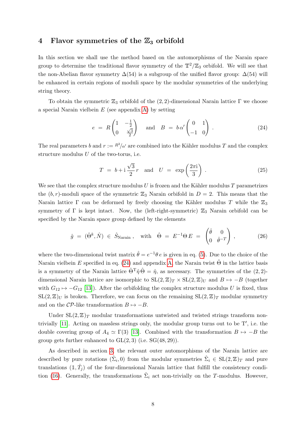## 4 Flavor symmetries of the  $\mathbb{Z}_3$  orbifold

In this section we shall use the method based on the automorphisms of the Narain space group to determine the traditional flavor symmetry of the  $\mathbb{T}^2/\mathbb{Z}_3$  orbifold. We will see that the non-Abelian flavor symmetry  $\Delta(54)$  is a subgroup of the unified flavor group:  $\Delta(54)$  will be enhanced in certain regions of moduli space by the modular symmetries of the underlying string theory.

To obtain the symmetric  $\mathbb{Z}_3$  orbifold of the  $(2, 2)$ -dimensional Narain lattice  $\Gamma$  we choose a special Narain vielbein  $E$  (see appendix [A\)](#page-14-0) by setting

<span id="page-8-0"></span>
$$
e = R \begin{pmatrix} 1 & -\frac{1}{2} \\ 0 & \frac{\sqrt{3}}{2} \end{pmatrix} \quad \text{and} \quad B = b \alpha' \begin{pmatrix} 0 & 1 \\ -1 & 0 \end{pmatrix} . \tag{24}
$$

The real parameters b and  $r := \frac{R^2}{\alpha'}$  are combined into the Kähler modulus T and the complex structure modulus  $U$  of the two-torus, i.e.

$$
T = b + i\frac{\sqrt{3}}{2}r \quad \text{and} \quad U = \exp\left(\frac{2\pi i}{3}\right). \tag{25}
$$

We see that the complex structure modulus  $U$  is frozen and the Kähler modulus  $T$  parametrizes the  $(b, r)$ -moduli space of the symmetric  $\mathbb{Z}_3$  Narain orbifold in  $D = 2$ . This means that the Narain lattice  $\Gamma$  can be deformed by freely choosing the Kähler modulus T while the  $\mathbb{Z}_3$ symmetry of  $\Gamma$  is kept intact. Now, the (left-right-symmetric)  $\mathbb{Z}_3$  Narain orbifold can be specified by the Narain space group defined by the elements

$$
\hat{g} = (\hat{\Theta}^k, \hat{N}) \in \hat{S}_{\text{Narain}} , \quad \text{with} \quad \hat{\Theta} = E^{-1} \Theta E = \begin{pmatrix} \hat{\theta} & 0 \\ 0 & \hat{\theta}^{-T} \end{pmatrix} , \tag{26}
$$

where the two-dimensional twist matrix  $\hat{\theta} = e^{-1}\theta e$  is given in eq. [\(5\)](#page-3-2). Due to the choice of the Narain vielbein E specified in eq. [\(24\)](#page-8-0) and appendix [A,](#page-14-0) the Narain twist  $\hat{\Theta}$  in the lattice basis is a symmetry of the Narain lattice  $\hat{\Theta}^T \hat{\eta} \hat{\Theta} = \hat{\eta}$ , as necessary. The symmetries of the (2, 2)dimensional Narain lattice are isomorphic to  $SL(2, \mathbb{Z})_T \times SL(2, \mathbb{Z})_U$  and  $B \mapsto -B$  (together with  $G_{12} \mapsto -G_{12}$  [\[13\]](#page-15-7)). After the orbifolding the complex structure modulus U is fixed, thus  $SL(2, \mathbb{Z})_U$  is broken. Therefore, we can focus on the remaining  $SL(2, \mathbb{Z})_T$  modular symmetry and on the  $\mathcal{CP}$ -like transformation  $B \mapsto -B$ .

Under  $SL(2, \mathbb{Z})_T$  modular transformations untwisted and twisted strings transform nontrivially  $[11]$ . Acting on massless strings only, the modular group turns out to be  $T'$ , i.e. the double covering group of  $A_4 \simeq \Gamma(3)$  [\[13\]](#page-15-7). Combined with the transformation  $B \mapsto -B$  the group gets further enhanced to  $GL(2,3)$  (i.e.  $SG(48, 29)$ ).

As described in section [3,](#page-5-3) the relevant outer automorphisms of the Narain lattice are described by pure rotations  $(\hat{\Sigma}_i, 0)$  from the modular symmetries  $\hat{\Sigma}_i \in SL(2, \mathbb{Z})_T$  and pure translations  $(1,\hat{T}_j)$  of the four-dimensional Narain lattice that fulfill the consistency condi-tion [\(16\)](#page-6-1). Generally, the transformations  $\hat{\Sigma}_i$  act non-trivially on the T-modulus. However,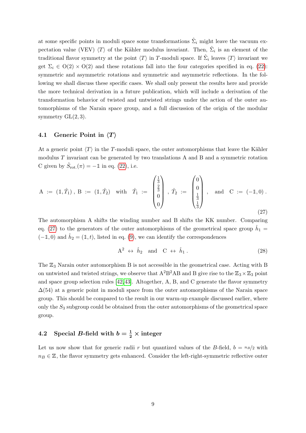at some specific points in moduli space some transformations  $\hat{\Sigma}_i$  might leave the vacuum expectation value (VEV)  $\langle T \rangle$  of the Kähler modulus invariant. Then,  $\hat{\Sigma}_i$  is an element of the traditional flavor symmetry at the point  $\langle T \rangle$  in T-moduli space. If  $\hat{\Sigma}_i$  leaves  $\langle T \rangle$  invariant we get  $\Sigma_i \in O(2) \times O(2)$  and these rotations fall into the four categories specified in eq. [\(22\)](#page-7-1): symmetric and asymmetric rotations and symmetric and asymmetric reflections. In the following we shall discuss these specific cases. We shall only present the results here and provide the more technical derivation in a future publication, which will include a derivation of the transformation behavior of twisted and untwisted strings under the action of the outer automorphisms of the Narain space group, and a full discussion of the origin of the modular symmetry  $GL(2,3)$ .

#### 4.1 Generic Point in  $\langle T \rangle$

At a generic point  $\langle T \rangle$  in the T-moduli space, the outer automorphisms that leave the Kähler modulus  $T$  invariant can be generated by two translations  $A$  and  $B$  and a symmetric rotation C given by  $\hat{S}_{\text{rot.}}(\pi) = -\mathbb{1}$  in eq. [\(22\)](#page-7-1), i.e.

<span id="page-9-0"></span>
$$
A := (\mathbb{1}, \hat{T}_1), B := (\mathbb{1}, \hat{T}_2) \text{ with } \hat{T}_1 := \begin{pmatrix} \frac{1}{3} \\ \frac{2}{3} \\ 0 \\ 0 \end{pmatrix}, \hat{T}_2 := \begin{pmatrix} 0 \\ 0 \\ \frac{1}{3} \\ \frac{1}{3} \end{pmatrix}, \text{ and } C := (-\mathbb{1}, 0).
$$
\n
$$
(27)
$$

The automorphism A shifts the winding number and B shifts the KK number. Comparing eq. [\(27\)](#page-9-0) to the generators of the outer automorphisms of the geometrical space group  $\hat{h}_1$  =  $(-1,0)$  and  $\hat{h}_2 = (1,t)$ , listed in eq. [\(9\)](#page-4-2), we can identify the correspondences

$$
A^2 \leftrightarrow \hat{h}_2 \quad \text{and} \quad C \leftrightarrow \hat{h}_1 \,. \tag{28}
$$

The  $\mathbb{Z}_3$  Narain outer automorphism B is not accessible in the geometrical case. Acting with B on untwisted and twisted strings, we observe that  $A^2B^2AB$  and B give rise to the  $\mathbb{Z}_3\times\mathbb{Z}_3$  point and space group selection rules [\[42,](#page-17-8) [43\]](#page-17-9). Altogether, A, B, and C generate the flavor symmetry  $\Delta(54)$  at a generic point in moduli space from the outer automorphisms of the Narain space group. This should be compared to the result in our warm-up example discussed earlier, where only the  $S_3$  subgroup could be obtained from the outer automorphisms of the geometrical space group.

# <span id="page-9-1"></span>4.2 Special B-field with  $b = \frac{1}{2} \times \text{integer}$

Let us now show that for generic radii r but quantized values of the B-field,  $b = nB/2$  with  $n_B \in \mathbb{Z}$ , the flavor symmetry gets enhanced. Consider the left-right-symmetric reflective outer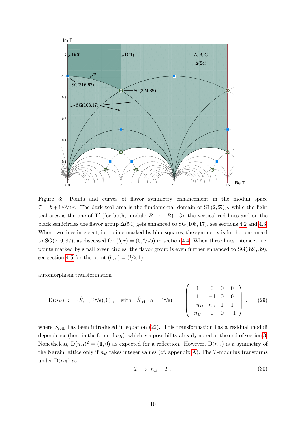

<span id="page-10-0"></span>Figure 3: Points and curves of flavor symmetry enhancement in the moduli space  $T = b + i\sqrt{3}/2r$ . The dark teal area is the fundamental domain of  $SL(2, \mathbb{Z})_T$ , while the light teal area is the one of T' (for both, modulo  $B \mapsto -B$ ). On the vertical red lines and on the black semicircles the flavor group  $\Delta(54)$  gets enhanced to SG(108, 17), see sections [4.2](#page-9-1) and [4.3.](#page-11-0) When two lines intersect, i.e. points marked by blue squares, the symmetry is further enhanced to SG(216, 87), as discussed for  $(b, r) = (0, \frac{2}{\sqrt{3}})$  in section [4.4.](#page-12-0) When three lines intersect, i.e. points marked by small green circles, the flavor group is even further enhanced to SG(324, 39), see section [4.5](#page-12-1) for the point  $(b, r) = (1/2, 1)$ .

automorphism transformation

$$
D(n_B) := (\hat{S}_{refl.}(2\pi/6), 0), \text{ with } \hat{S}_{refl.}(\alpha = 2\pi/6) = \begin{pmatrix} 1 & 0 & 0 & 0 \\ 1 & -1 & 0 & 0 \\ -n_B & n_B & 1 & 1 \\ n_B & 0 & 0 & -1 \end{pmatrix}, \quad (29)
$$

where  $\hat{S}_{\text{refl.}}$  has been introduced in equation [\(22\)](#page-7-1). This transformation has a residual moduli dependence (here in the form of  $n_B$ ), which is a possibility already noted at the end of section [3.](#page-5-3) Nonetheless,  $D(n_B)^2 = (1,0)$  as expected for a reflection. However,  $D(n_B)$  is a symmetry of the Narain lattice only if  $n_B$  takes integer values (cf. appendix [A\)](#page-14-0). The T-modulus transforms under  $D(n_B)$  as

$$
T \ \mapsto \ n_B - \overline{T} \ . \tag{30}
$$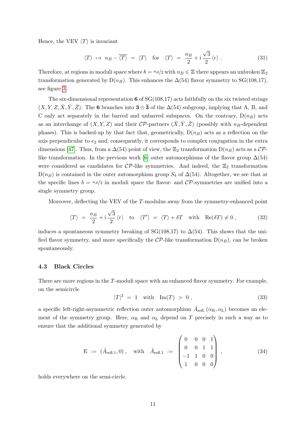Hence, the VEV  $\langle T \rangle$  is invariant

$$
\langle T \rangle \mapsto n_B - \overline{\langle T \rangle} = \langle T \rangle \quad \text{for} \quad \langle T \rangle = \frac{n_B}{2} + i \frac{\sqrt{3}}{2} \langle r \rangle \,. \tag{31}
$$

Therefore, at regions in moduli space where  $b = nB/2$  with  $n \in \mathbb{Z}$  there appears an unbroken  $\mathbb{Z}_2$ transformation generated by  $D(n_B)$ . This enhances the  $\Delta(54)$  flavor symmetry to SG(108,17), see figure [3.](#page-10-0)

The six-dimensional representation 6 of  $SG(108,17)$  acts faithfully on the six twisted strings  $(X, Y, Z, \overline{X}, \overline{Y}, \overline{Z})$ . The 6 branches into 3 ⊕ 3 of the  $\Delta(54)$  subgroup, implying that A, B, and C only act separately in the barred and unbarred subspaces. On the contrary,  $D(n_B)$  acts as an interchange of  $(X, Y, Z)$  and their CP-partners  $(\overline{X}, \overline{Y}, \overline{Z})$  (possibly with  $n_B$ -dependent phases). This is backed-up by that fact that, geometrically,  $D(n_B)$  acts as a reflection on the axis perpendicular to  $e_2$  and, consequently, it corresponds to complex conjugation in the extra dimensions [\[47\]](#page-17-13). Thus, from a  $\Delta(54)$  point of view, the  $\mathbb{Z}_2$  transformation  $D(n_B)$  acts as a  $\mathcal{CP}$ -like transformation. In the previous work [\[6\]](#page-15-2) outer automorphisms of the flavor group  $\Delta(54)$ were considered as candidates for  $\mathcal{CP}$ -like symmetries. And indeed, the  $\mathbb{Z}_2$  transformation  $D(n_B)$  is contained in the outer automorphism group  $S_4$  of  $\Delta(54)$ . Altogether, we see that at the specific lines  $b = \frac{n}{2}$  in moduli space the flavor- and CP-symmetries are unified into a single symmetry group.

Moreover, deflecting the VEV of the T-modulus away from the symmetry-enhanced point

$$
\langle T \rangle = \frac{n_B}{2} + i \frac{\sqrt{3}}{2} \langle r \rangle \quad \text{to} \quad \langle T' \rangle = \langle T \rangle + \delta T \quad \text{with} \quad \text{Re}(\delta T) \neq 0 , \tag{32}
$$

induces a spontaneous symmetry breaking of SG(108,17) to  $\Delta(54)$ . This shows that the unified flavor symmetry, and more specifically the  $\mathcal{CP}$ -like transformation  $D(n_B)$ , can be broken spontaneously.

#### <span id="page-11-0"></span>4.3 Black Circles

There are more regions in the T-moduli space with an enhanced flavor symmetry. For example, on the semicircle

$$
|T|^2 = 1 \quad \text{with} \quad \text{Im}(T) > 0 \,, \tag{33}
$$

a specific left-right-asymmetric reflection outer automorphism  $\hat{A}_{\text{refl.}}(\alpha_{\text{R}}, \alpha_{\text{L}})$  becomes an element of the symmetry group. Here,  $\alpha_R$  and  $\alpha_L$  depend on T precisely in such a way as to ensure that the additional symmetry generated by

$$
E := (\hat{A}_{refl.1}, 0), \text{ with } \hat{A}_{refl.1} := \begin{pmatrix} 0 & 0 & 0 & 1 \\ 0 & 0 & 1 & 1 \\ -1 & 1 & 0 & 0 \\ 1 & 0 & 0 & 0 \end{pmatrix},
$$
(34)

holds everywhere on the semi-circle.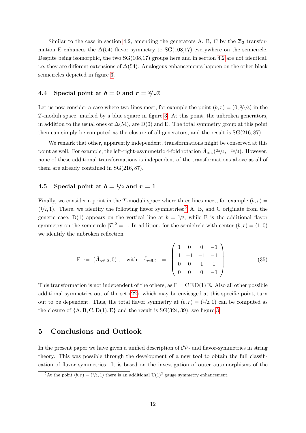Similar to the case in section [4.2,](#page-9-1) amending the generators A, B, C by the  $\mathbb{Z}_2$  transformation E enhances the  $\Delta(54)$  flavor symmetry to SG(108,17) everywhere on the semicircle. Despite being isomorphic, the two  $SG(108,17)$  groups here and in section [4.2](#page-9-1) are not identical, i.e. they are different extensions of  $\Delta(54)$ . Analogous enhancements happen on the other black semicircles depicted in figure [3.](#page-10-0)

## <span id="page-12-0"></span>4.4 Special point at  $b = 0$  and  $r = 2/\sqrt{3}$

Let us now consider a case where two lines meet, for example the point  $(b, r) = (0, 2/\sqrt{3})$  in the T-moduli space, marked by a blue square in figure [3.](#page-10-0) At this point, the unbroken generators, in addition to the usual ones of  $\Delta(54)$ , are D(0) and E. The total symmetry group at this point then can simply be computed as the closure of all generators, and the result is  $SG(216, 87)$ .

We remark that other, apparently independent, transformations might be conserved at this point as well. For example, the left-right-asymmetric 4-fold rotation  $\hat{A}_{\rm rot.}(2\pi/4, -2\pi/4)$ . However, none of these additional transformations is independent of the transformations above as all of them are already contained in SG(216, 87).

### <span id="page-12-1"></span>4.5 Special point at  $b = \frac{1}{2}$  and  $r = 1$

Finally, we consider a point in the T-moduli space where three lines meet, for example  $(b, r)$  $(1/2, 1)$ . There, we identify the following flavor symmetries:<sup>[5](#page-12-2)</sup> A, B, and C originate from the generic case,  $D(1)$  appears on the vertical line at  $b = 1/2$ , while E is the additional flavor symmetry on the semicircle  $|T|^2 = 1$ . In addition, for the semicircle with center  $(b, r) = (1, 0)$ we identify the unbroken reflection

$$
\mathbf{F} := (\hat{A}_{\text{refl.2}}, 0), \quad \text{with} \quad \hat{A}_{\text{refl.2}} := \begin{pmatrix} 1 & 0 & 0 & -1 \\ 1 & -1 & -1 & -1 \\ 0 & 0 & 1 & 1 \\ 0 & 0 & 0 & -1 \end{pmatrix} . \tag{35}
$$

This transformation is not independent of the others, as  $F = C E D(1) E$ . Also all other possible additional symmetries out of the set [\(22\)](#page-7-1), which may be envisaged at this specific point, turn out to be dependent. Thus, the total flavor symmetry at  $(b, r) = (1/2, 1)$  can be computed as the closure of  $\{A, B, C, D(1), E\}$  and the result is  $SG(324, 39)$ , see figure [3.](#page-10-0)

## 5 Conclusions and Outlook

In the present paper we have given a unified description of  $\mathcal{CP}$ - and flavor-symmetries in string theory. This was possible through the development of a new tool to obtain the full classification of flavor symmetries. It is based on the investigation of outer automorphisms of the

<span id="page-12-2"></span><sup>&</sup>lt;sup>5</sup>At the point  $(b, r) = (1/2, 1)$  there is an additional U(1)<sup>2</sup> gauge symmetry enhancement.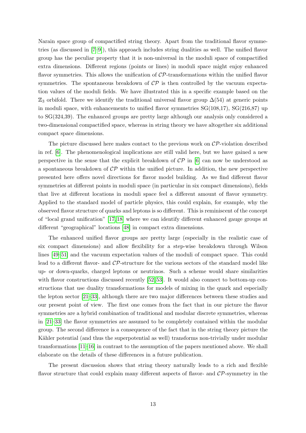Narain space group of compactified string theory. Apart from the traditional flavor symmetries (as discussed in [\[7](#page-15-3)[–9\]](#page-15-4)), this approach includes string dualities as well. The unified flavor group has the peculiar property that it is non-universal in the moduli space of compactified extra dimensions. Different regions (points or lines) in moduli space might enjoy enhanced flavor symmetries. This allows the unification of CP-transformations within the unified flavor symmetries. The spontaneous breakdown of  $\mathcal{CP}$  is then controlled by the vacuum expectation values of the moduli fields. We have illustrated this in a specific example based on the  $\mathbb{Z}_3$  orbifold. There we identify the traditional universal flavor group  $\Delta(54)$  at generic points in moduli space, with enhancements to unified flavor symmetries SG(108,17), SG(216,87) up to SG(324,39). The enhanced groups are pretty large although our analysis only considered a two-dimensional compactified space, whereas in string theory we have altogether six additional compact space dimensions.

The picture discussed here makes contact to the previous work on  $\mathcal{CP}$ -violation described in ref. [\[6\]](#page-15-2). The phenomenological implications are still valid here, but we have gained a new perspective in the sense that the explicit breakdown of  $\mathcal{CP}$  in [\[6\]](#page-15-2) can now be understood as a spontaneous breakdown of  $\mathcal{CP}$  within the unified picture. In addition, the new perspective presented here offers novel directions for flavor model building. As we find different flavor symmetries at different points in moduli space (in particular in six compact dimensions), fields that live at different locations in moduli space feel a different amount of flavor symmetry. Applied to the standard model of particle physics, this could explain, for example, why the observed flavor structure of quarks and leptons is so different. This is reminiscent of the concept of "local grand unification" [\[17,](#page-16-1) [18\]](#page-16-2) where we can identify different enhanced gauge groups at different "geographical" locations [\[48\]](#page-18-0) in compact extra dimensions.

The enhanced unified flavor groups are pretty large (especially in the realistic case of six compact dimensions) and allow flexibility for a step-wise breakdown through Wilson lines [\[49–](#page-18-1)[51\]](#page-18-2) and the vacuum expectation values of the moduli of compact space. This could lead to a different flavor- and CP-structure for the various sectors of the standard model like up- or down-quarks, charged leptons or neutrinos. Such a scheme would share similarities with flavor constructions discussed recently [\[52,](#page-18-3) [53\]](#page-18-4). It would also connect to bottom-up constructions that use duality transformations for models of mixing in the quark and especially the lepton sector [\[21](#page-16-4)[–33\]](#page-17-0), although there are two major differences between these studies and our present point of view. The first one comes from the fact that in our picture the flavor symmetries are a hybrid combination of traditional and modular discrete symmetries, whereas in [\[21](#page-16-4)[–33\]](#page-17-0) the flavor symmetries are assumed to be completely contained within the modular group. The second difference is a consequence of the fact that in the string theory picture the Kähler potential (and thus the superpotential as well) transforms non-trivially under modular transformations [\[11–](#page-15-8)[16\]](#page-16-0) in contrast to the assumption of the papers mentioned above. We shall elaborate on the details of these differences in a future publication.

The present discussion shows that string theory naturally leads to a rich and flexible flavor structure that could explain many different aspects of flavor- and  $\mathcal{CP}$ -symmetry in the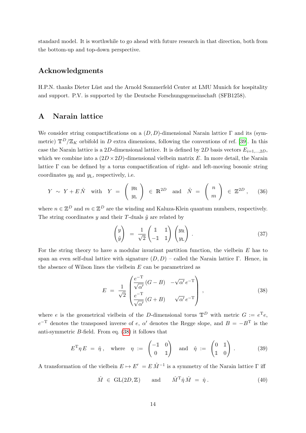standard model. It is worthwhile to go ahead with future research in that direction, both from the bottom-up and top-down perspective.

## Acknowledgments

H.P.N. thanks Dieter Lüst and the Arnold Sommerfeld Center at LMU Munich for hospitality and support. P.V. is supported by the Deutsche Forschungsgemeinschaft (SFB1258).

## <span id="page-14-0"></span>A Narain lattice

We consider string compactifications on a  $(D, D)$ -dimensional Narain lattice Γ and its (symmetric)  $\mathbb{T}^D/\mathbb{Z}_K$  orbifold in D extra dimensions, following the conventions of ref. [\[39\]](#page-17-5). In this case the Narain lattice is a 2D-dimensional lattice. It is defined by 2D basis vectors  $E_{i=1,...,2D}$ , which we combine into a  $(2D \times 2D)$ -dimensional vielbein matrix E. In more detail, the Narain lattice  $\Gamma$  can be defined by a torus compactification of right- and left-moving bosonic string coordinates  $y_R$  and  $y_L$ , respectively, i.e.

$$
Y \sim Y + E\hat{N} \quad \text{with} \quad Y = \left(\begin{array}{c} y_{\text{R}} \\ y_{\text{L}} \end{array}\right) \in \mathbb{R}^{2D} \quad \text{and} \quad \hat{N} = \left(\begin{array}{c} n \\ m \end{array}\right) \in \mathbb{Z}^{2D} \,, \tag{36}
$$

where  $n \in \mathbb{Z}^D$  and  $m \in \mathbb{Z}^D$  are the winding and Kaluza-Klein quantum numbers, respectively. The string coordinates y and their T-duals  $\tilde{y}$  are related by

$$
\begin{pmatrix} y \\ \tilde{y} \end{pmatrix} = \frac{1}{\sqrt{2}} \begin{pmatrix} 1 & 1 \\ -1 & 1 \end{pmatrix} \begin{pmatrix} y_R \\ y_L \end{pmatrix} . \tag{37}
$$

For the string theory to have a modular invariant partition function, the vielbein E has to span an even self-dual lattice with signature  $(D, D)$  – called the Narain lattice Γ. Hence, in the absence of Wilson lines the vielbein  $E$  can be parametrized as

<span id="page-14-1"></span>
$$
E = \frac{1}{\sqrt{2}} \begin{pmatrix} \frac{e^{-T}}{\sqrt{\alpha'}} (G - B) & -\sqrt{\alpha'} e^{-T} \\ \frac{e^{-T}}{\sqrt{\alpha'}} (G + B) & \sqrt{\alpha'} e^{-T} \end{pmatrix},
$$
(38)

where e is the geometrical vielbein of the D-dimensional torus  $\mathbb{T}^D$  with metric  $G := e^{\mathrm{T}}e$ ,  $e^{-T}$  denotes the transposed inverse of e,  $\alpha'$  denotes the Regge slope, and  $B = -B^{T}$  is the anti-symmetric B-field. From eq. [\(38\)](#page-14-1) it follows that

$$
E^{\mathrm{T}} \eta E = \hat{\eta}, \quad \text{where} \quad \eta := \begin{pmatrix} -\mathbb{1} & 0 \\ 0 & \mathbb{1} \end{pmatrix} \quad \text{and} \quad \hat{\eta} := \begin{pmatrix} 0 & \mathbb{1} \\ \mathbb{1} & 0 \end{pmatrix}. \tag{39}
$$

A transformation of the vielbein  $E \mapsto E' = E \hat{M}^{-1}$  is a symmetry of the Narain lattice  $\Gamma$  iff

$$
\hat{M} \in GL(2D, \mathbb{Z}) \quad \text{and} \quad \hat{M}^{\mathrm{T}} \hat{\eta} \hat{M} = \hat{\eta} \,. \tag{40}
$$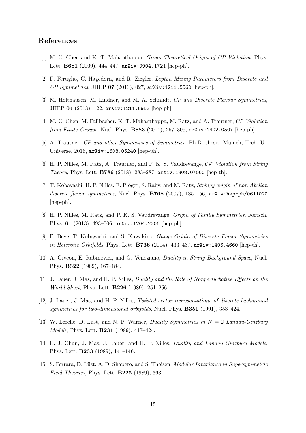## References

- <span id="page-15-0"></span>[1] M.-C. Chen and K. T. Mahanthappa, Group Theoretical Origin of CP Violation, Phys. Lett. B681 (2009), 444–447, arXiv:0904.1721 [hep-ph].
- [2] F. Feruglio, C. Hagedorn, and R. Ziegler, Lepton Mixing Parameters from Discrete and CP Symmetries, JHEP 07 (2013), 027, arXiv:1211.5560 [hep-ph].
- [3] M. Holthausen, M. Lindner, and M. A. Schmidt, CP and Discrete Flavour Symmetries, JHEP 04 (2013), 122, arXiv:1211.6953 [hep-ph].
- <span id="page-15-6"></span>[4] M.-C. Chen, M. Fallbacher, K. T. Mahanthappa, M. Ratz, and A. Trautner, CP Violation from Finite Groups, Nucl. Phys. B883 (2014), 267–305, arXiv:1402.0507 [hep-ph].
- <span id="page-15-1"></span>[5] A. Trautner, CP and other Symmetries of Symmetries, Ph.D. thesis, Munich, Tech. U., Universe, 2016, arXiv:1608.05240 [hep-ph].
- <span id="page-15-2"></span>[6] H. P. Nilles, M. Ratz, A. Trautner, and P. K. S. Vaudrevange, CP Violation from String Theory, Phys. Lett. B786 (2018), 283–287, arXiv:1808.07060 [hep-th].
- <span id="page-15-3"></span>[7] T. Kobayashi, H. P. Nilles, F. Plöger, S. Raby, and M. Ratz, *Stringy origin of non-Abelian* discrete flavor symmetries, Nucl. Phys. B768 (2007), 135-156, arXiv:hep-ph/0611020 [hep-ph].
- [8] H. P. Nilles, M. Ratz, and P. K. S. Vaudrevange, Origin of Family Symmetries, Fortsch. Phys. 61 (2013), 493–506, arXiv:1204.2206 [hep-ph].
- <span id="page-15-4"></span>[9] F. Beye, T. Kobayashi, and S. Kuwakino, Gauge Origin of Discrete Flavor Symmetries in Heterotic Orbifolds, Phys. Lett. **B736** (2014),  $433-437$ ,  $arXiv:1406.4660$  [hep-th].
- <span id="page-15-5"></span>[10] A. Giveon, E. Rabinovici, and G. Veneziano, Duality in String Background Space, Nucl. Phys. B322 (1989), 167–184.
- <span id="page-15-8"></span>[11] J. Lauer, J. Mas, and H. P. Nilles, *Duality and the Role of Nonperturbative Effects on the* World Sheet, Phys. Lett. B226 (1989), 251–256.
- [12] J. Lauer, J. Mas, and H. P. Nilles, Twisted sector representations of discrete background symmetries for two-dimensional orbifolds, Nucl. Phys. **B351** (1991), 353-424.
- <span id="page-15-7"></span>[13] W. Lerche, D. Lüst, and N. P. Warner, Duality Symmetries in  $N = 2$  Landau-Ginzburg Models, Phys. Lett. B231 (1989), 417–424.
- [14] E. J. Chun, J. Mas, J. Lauer, and H. P. Nilles, Duality and Landau-Ginzburg Models, Phys. Lett. B233 (1989), 141–146.
- [15] S. Ferrara, D. Lüst, A. D. Shapere, and S. Theisen, *Modular Invariance in Supersymmetric* Field Theories, Phys. Lett. B225 (1989), 363.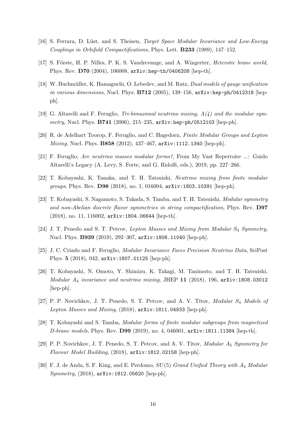- <span id="page-16-0"></span>[16] S. Ferrara, D. Lüst, and S. Theisen, *Target Space Modular Invariance and Low-Energy* Couplings in Orbifold Compactifications, Phys. Lett. B233 (1989), 147–152.
- <span id="page-16-1"></span>[17] S. Förste, H. P. Nilles, P. K. S. Vaudrevange, and A. Wingerter, *Heterotic brane world*, Phys. Rev. D70 (2004), 106008, arXiv:hep-th/0406208 [hep-th].
- <span id="page-16-2"></span>[18] W. Buchmüller, K. Hamaguchi, O. Lebedev, and M. Ratz, *Dual models of gauge unification* in various dimensions, Nucl. Phys.  $B712$  (2005), 139-156, arXiv:hep-ph/0412318 [hepph].
- <span id="page-16-3"></span>[19] G. Altarelli and F. Feruglio, Tri-bimaximal neutrino mixing,  $A(4)$  and the modular symmetry, Nucl. Phys. B741 (2006), 215-235, arXiv:hep-ph/0512103 [hep-ph].
- [20] R. de Adelhart Toorop, F. Feruglio, and C. Hagedorn, Finite Modular Groups and Lepton Mixing, Nucl. Phys. **B858** (2012), 437-467, arXiv:1112.1340 [hep-ph].
- <span id="page-16-4"></span>[21] F. Feruglio, Are neutrino masses modular forms?, From My Vast Repertoire ...: Guido Altarelli's Legacy (A. Levy, S. Forte, and G. Ridolfi, eds.), 2019, pp. 227–266.
- [22] T. Kobayashi, K. Tanaka, and T. H. Tatsuishi, Neutrino mixing from finite modular groups, Phys. Rev. D98 (2018), no. 1, 016004,  $arXiv:1803.10391$  [hep-ph].
- [23] T. Kobayashi, S. Nagamoto, S. Takada, S. Tamba, and T. H. Tatsuishi, Modular symmetry and non-Abelian discrete flavor symmetries in string compactification, Phys. Rev. D97  $(2018)$ , no. 11, 116002, arXiv:1804.06644 [hep-th].
- [24] J. T. Penedo and S. T. Petcov, Lepton Masses and Mixing from Modular S<sub>4</sub> Symmetry, Nucl. Phys. B939 (2019), 292–307, arXiv:1806.11040 [hep-ph].
- [25] J. C. Criado and F. Feruglio, Modular Invariance Faces Precision Neutrino Data, SciPost Phys. 5 (2018), 042, arXiv:1807.01125 [hep-ph].
- [26] T. Kobayashi, N. Omoto, Y. Shimizu, K. Takagi, M. Tanimoto, and T. H. Tatsuishi, Modular  $A_4$  invariance and neutrino mixing, JHEP 11 (2018), 196,  $arXiv:1808.03012$ [hep-ph].
- [27] P. P. Novichkov, J. T. Penedo, S. T. Petcov, and A. V. Titov, Modular S<sub>4</sub> Models of Lepton Masses and Mixing,  $(2018)$ ,  $arXiv:1811.04933$  [hep-ph].
- [28] T. Kobayashi and S. Tamba, Modular forms of finite modular subgroups from magnetized D-brane models, Phys. Rev. D99 (2019), no. 4, 046001, arXiv:1811.11384 [hep-th].
- [29] P. P. Novichkov, J. T. Penedo, S. T. Petcov, and A. V. Titov, *Modular A*<sub>5</sub> Symmetry for Flavour Model Building, (2018), arXiv:1812.02158 [hep-ph].
- [30] F. J. de Anda, S. F. King, and E. Perdomo, SU(5) Grand Unified Theory with A<sup>4</sup> Modular  $Symmetry, (2018), arXiv:1812.05620$  [hep-ph].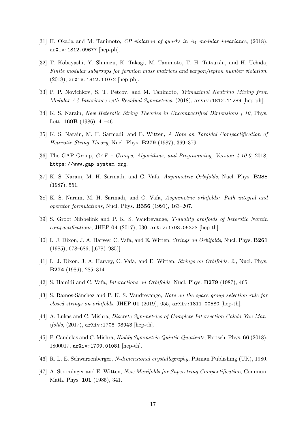- [31] H. Okada and M. Tanimoto, CP violation of quarks in  $A_4$  modular invariance, (2018), arXiv:1812.09677 [hep-ph].
- [32] T. Kobayashi, Y. Shimizu, K. Takagi, M. Tanimoto, T. H. Tatsuishi, and H. Uchida, Finite modular subgroups for fermion mass matrices and baryon/lepton number violation, (2018), arXiv:1812.11072 [hep-ph].
- <span id="page-17-0"></span>[33] P. P. Novichkov, S. T. Petcov, and M. Tanimoto, Trimaximal Neutrino Mixing from Modular A4 Invariance with Residual Symmetries, (2018), arXiv:1812.11289 [hep-ph].
- <span id="page-17-1"></span>[34] K. S. Narain, *New Heterotic String Theories in Uncompactified Dimensions i* 10, Phys. Lett. 169B (1986), 41–46.
- <span id="page-17-2"></span>[35] K. S. Narain, M. H. Sarmadi, and E. Witten, A Note on Toroidal Compactification of Heterotic String Theory, Nucl. Phys. B279 (1987), 369–379.
- <span id="page-17-3"></span>[36] The GAP Group, GAP – Groups, Algorithms, and Programming, Version 4.10.0, 2018, https://www.gap-system.org.
- <span id="page-17-4"></span>[37] K. S. Narain, M. H. Sarmadi, and C. Vafa, Asymmetric Orbifolds, Nucl. Phys. **B288** (1987), 551.
- [38] K. S. Narain, M. H. Sarmadi, and C. Vafa, Asymmetric orbifolds: Path integral and operator formulations, Nucl. Phys. B356 (1991), 163–207.
- <span id="page-17-5"></span>[39] S. Groot Nibbelink and P. K. S. Vaudrevange, T-duality orbifolds of heterotic Narain compactifications, JHEP 04 (2017), 030, arXiv:1703.05323 [hep-th].
- <span id="page-17-6"></span>[40] L. J. Dixon, J. A. Harvey, C. Vafa, and E. Witten, Strings on Orbifolds, Nucl. Phys. B261 (1985), 678–686, [,678(1985)].
- <span id="page-17-7"></span>[41] L. J. Dixon, J. A. Harvey, C. Vafa, and E. Witten, Strings on Orbifolds. 2., Nucl. Phys. B274 (1986), 285–314.
- <span id="page-17-8"></span>[42] S. Hamidi and C. Vafa, Interactions on Orbifolds, Nucl. Phys. B279 (1987), 465.
- <span id="page-17-9"></span>[43] S. Ramos-Sánchez and P. K. S. Vaudrevange, Note on the space group selection rule for closed strings on orbifolds, JHEP  $01$  (2019), 055, arXiv:1811.00580 [hep-th].
- <span id="page-17-10"></span>[44] A. Lukas and C. Mishra, Discrete Symmetries of Complete Intersection Calabi-Yau Man $ifolds, (2017), arXiv:1708.08943$  [hep-th].
- <span id="page-17-11"></span>[45] P. Candelas and C. Mishra, *Highly Symmetric Quintic Quotients*, Fortsch. Phys. **66** (2018), 1800017, arXiv:1709.01081 [hep-th].
- <span id="page-17-12"></span>[46] R. L. E. Schwarzenberger, N-dimensional crystallography, Pitman Publishing (UK), 1980.
- <span id="page-17-13"></span>[47] A. Strominger and E. Witten, New Manifolds for Superstring Compactification, Commun. Math. Phys. 101 (1985), 341.